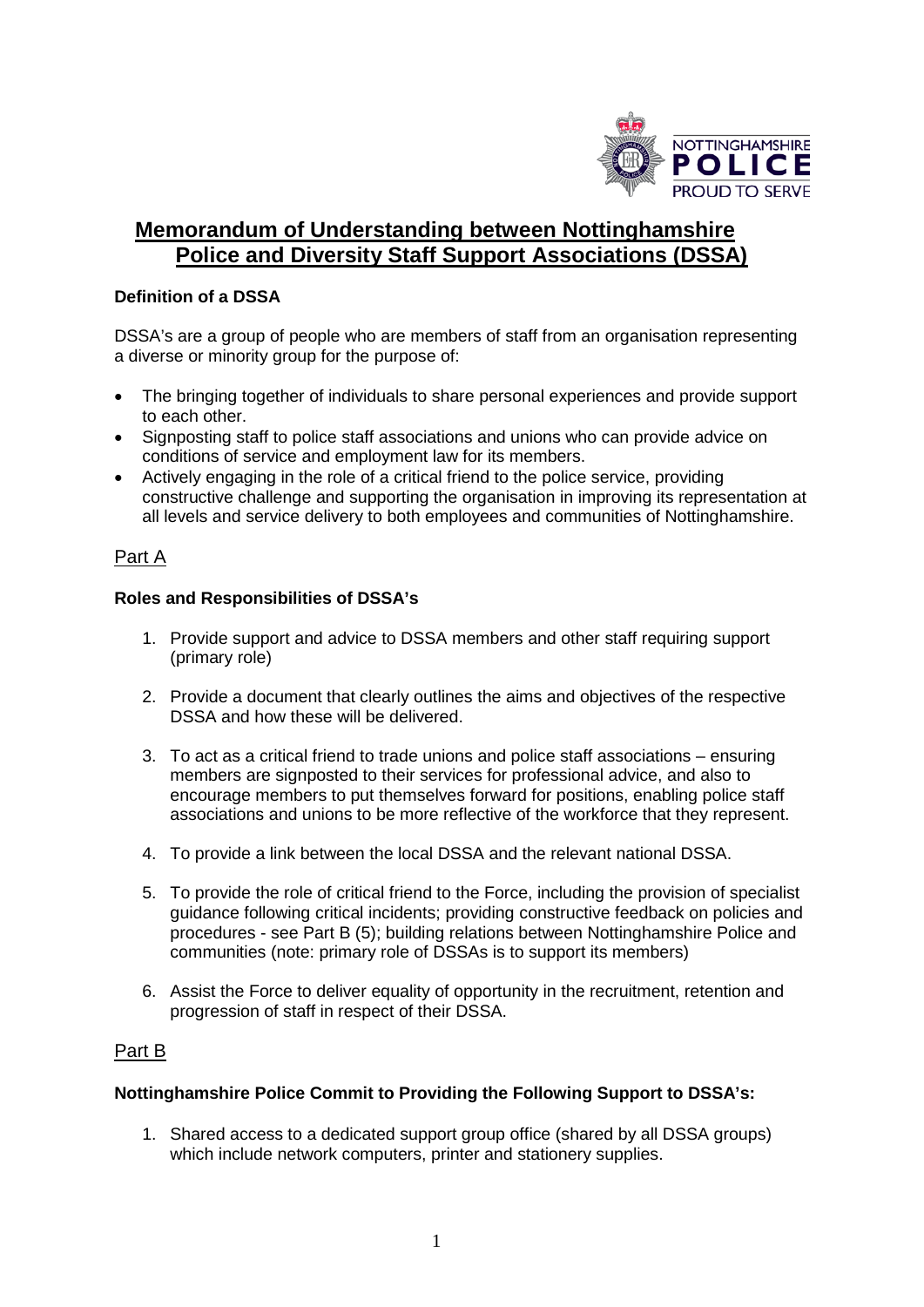

# **Memorandum of Understanding between Nottinghamshire Police and Diversity Staff Support Associations (DSSA)**

## **Definition of a DSSA**

DSSA's are a group of people who are members of staff from an organisation representing a diverse or minority group for the purpose of:

- The bringing together of individuals to share personal experiences and provide support to each other.
- Signposting staff to police staff associations and unions who can provide advice on conditions of service and employment law for its members.
- Actively engaging in the role of a critical friend to the police service, providing constructive challenge and supporting the organisation in improving its representation at all levels and service delivery to both employees and communities of Nottinghamshire.

# Part A

## **Roles and Responsibilities of DSSA's**

- 1. Provide support and advice to DSSA members and other staff requiring support (primary role)
- 2. Provide a document that clearly outlines the aims and objectives of the respective DSSA and how these will be delivered.
- 3. To act as a critical friend to trade unions and police staff associations ensuring members are signposted to their services for professional advice, and also to encourage members to put themselves forward for positions, enabling police staff associations and unions to be more reflective of the workforce that they represent.
- 4. To provide a link between the local DSSA and the relevant national DSSA.
- 5. To provide the role of critical friend to the Force, including the provision of specialist guidance following critical incidents; providing constructive feedback on policies and procedures - see Part B (5); building relations between Nottinghamshire Police and communities (note: primary role of DSSAs is to support its members)
- 6. Assist the Force to deliver equality of opportunity in the recruitment, retention and progression of staff in respect of their DSSA.

# Part B

#### **Nottinghamshire Police Commit to Providing the Following Support to DSSA's:**

1. Shared access to a dedicated support group office (shared by all DSSA groups) which include network computers, printer and stationery supplies.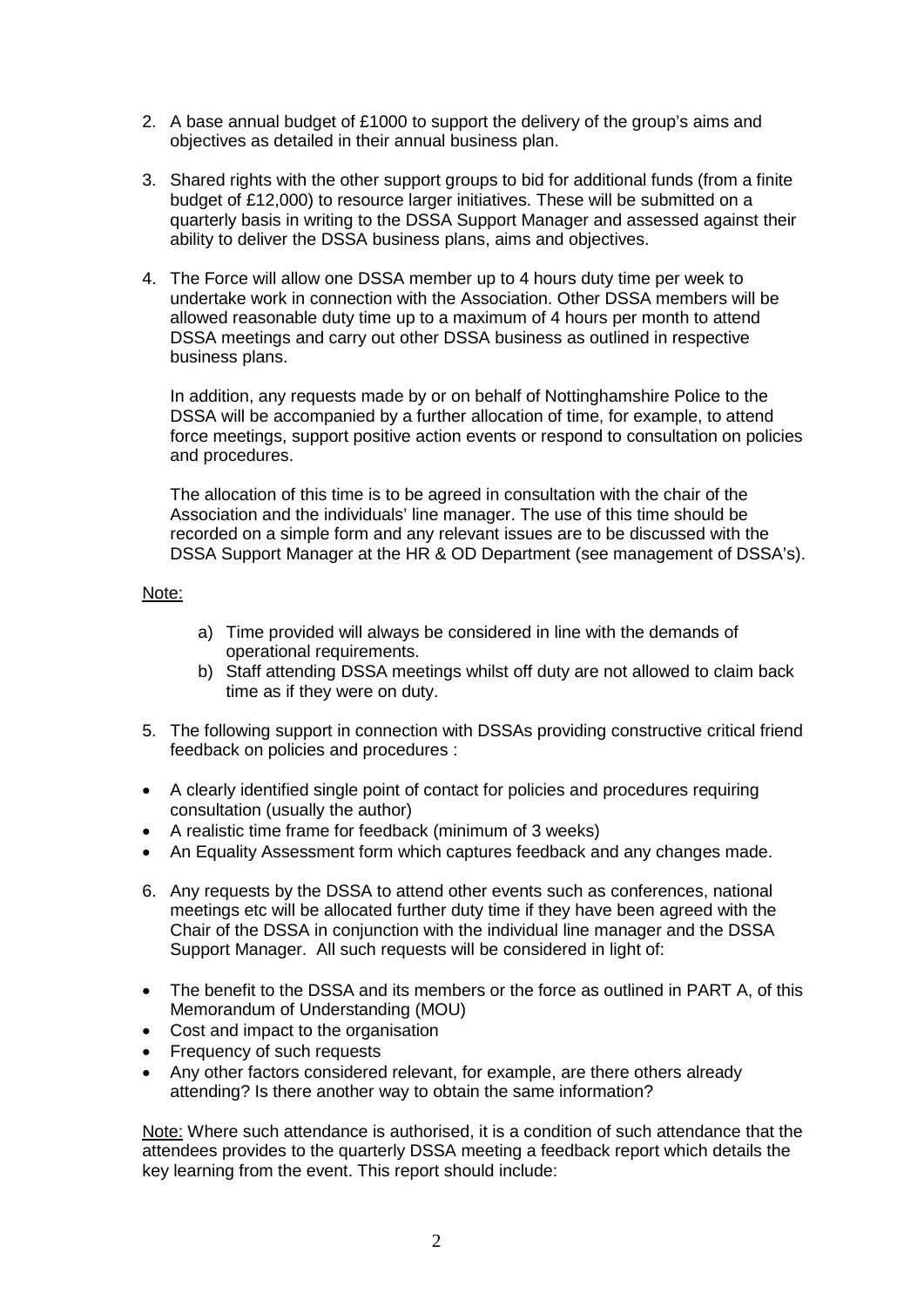- 2. A base annual budget of £1000 to support the delivery of the group's aims and objectives as detailed in their annual business plan.
- 3. Shared rights with the other support groups to bid for additional funds (from a finite budget of £12,000) to resource larger initiatives. These will be submitted on a quarterly basis in writing to the DSSA Support Manager and assessed against their ability to deliver the DSSA business plans, aims and objectives.
- 4. The Force will allow one DSSA member up to 4 hours duty time per week to undertake work in connection with the Association. Other DSSA members will be allowed reasonable duty time up to a maximum of 4 hours per month to attend DSSA meetings and carry out other DSSA business as outlined in respective business plans.

In addition, any requests made by or on behalf of Nottinghamshire Police to the DSSA will be accompanied by a further allocation of time, for example, to attend force meetings, support positive action events or respond to consultation on policies and procedures.

The allocation of this time is to be agreed in consultation with the chair of the Association and the individuals' line manager. The use of this time should be recorded on a simple form and any relevant issues are to be discussed with the DSSA Support Manager at the HR & OD Department (see management of DSSA's).

#### Note:

- a) Time provided will always be considered in line with the demands of operational requirements.
- b) Staff attending DSSA meetings whilst off duty are not allowed to claim back time as if they were on duty.
- 5. The following support in connection with DSSAs providing constructive critical friend feedback on policies and procedures :
- A clearly identified single point of contact for policies and procedures requiring consultation (usually the author)
- A realistic time frame for feedback (minimum of 3 weeks)
- An Equality Assessment form which captures feedback and any changes made.
- 6. Any requests by the DSSA to attend other events such as conferences, national meetings etc will be allocated further duty time if they have been agreed with the Chair of the DSSA in conjunction with the individual line manager and the DSSA Support Manager. All such requests will be considered in light of:
- The benefit to the DSSA and its members or the force as outlined in PART A, of this Memorandum of Understanding (MOU)
- Cost and impact to the organisation
- Frequency of such requests
- Any other factors considered relevant, for example, are there others already attending? Is there another way to obtain the same information?

Note: Where such attendance is authorised, it is a condition of such attendance that the attendees provides to the quarterly DSSA meeting a feedback report which details the key learning from the event. This report should include: